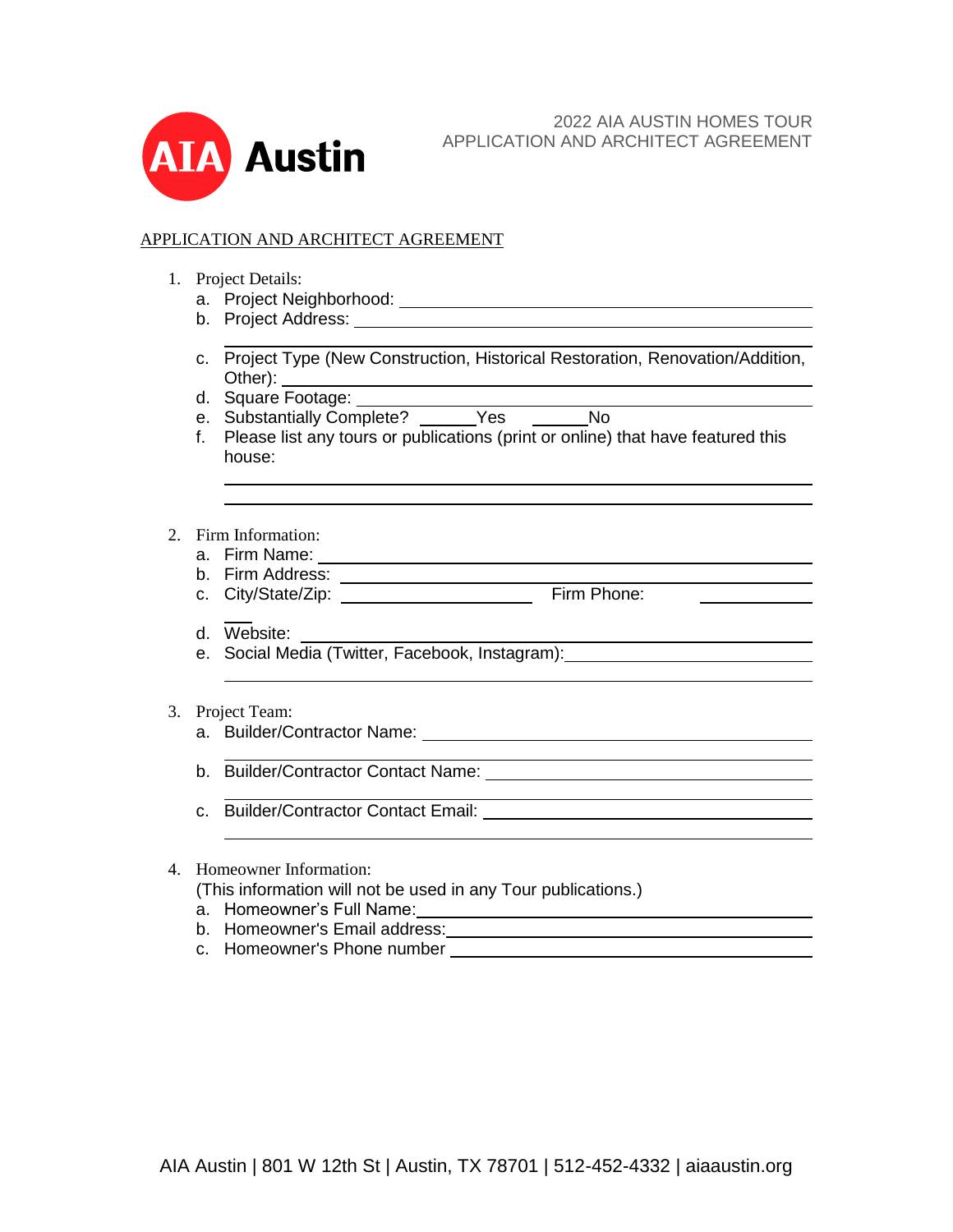

## APPLICATION AND ARCHITECT AGREEMENT

- 1. Project Details:
	- a. Project Neighborhood:
	- b. Project Address:
	- c. Project Type (New Construction, Historical Restoration, Renovation/Addition, Other):
	- d. Square Footage:
	- e. Substantially Complete? Yes No
	- f. Please list any tours or publications (print or online) that have featured this house:

## 2. Firm Information:

- a. Firm Name:
- b. Firm Address:
- c. City/State/Zip: \_\_\_\_\_\_\_\_\_\_\_\_\_\_\_\_\_\_\_\_\_\_\_\_\_\_\_\_\_ Firm Phone:
- d. Website:
- e. Social Media (Twitter, Facebook, Instagram):

## 3. Project Team:

- a. Builder/Contractor Name:
- b. Builder/Contractor Contact Name:
- c. Builder/Contractor Contact Email:
- 4. Homeowner Information:
	- (This information will not be used in any Tour publications.)
	- a. Homeowner's Full Name:
	- b. Homeowner's Email address:
	- c. Homeowner's Phone number